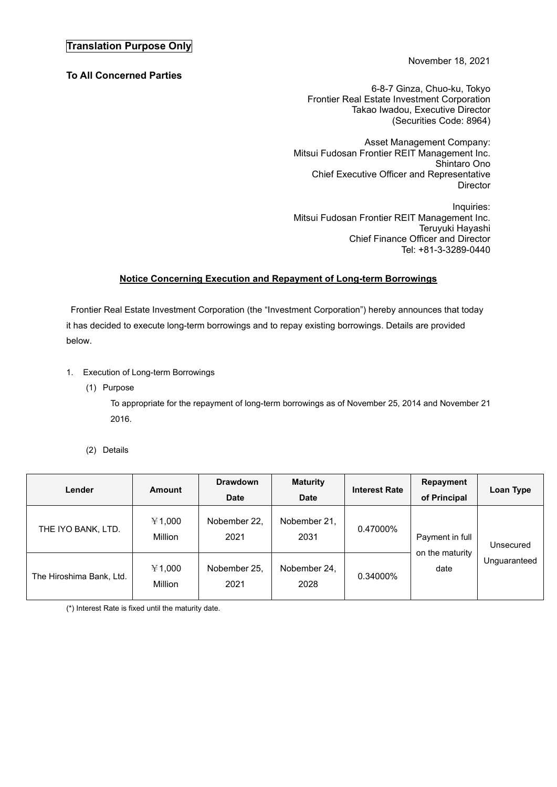**To All Concerned Parties**

November 18, 2021

6-8-7 Ginza, Chuo-ku, Tokyo Frontier Real Estate Investment Corporation Takao Iwadou, Executive Director (Securities Code: 8964)

Asset Management Company: Mitsui Fudosan Frontier REIT Management Inc. Shintaro Ono Chief Executive Officer and Representative Director

Inquiries: Mitsui Fudosan Frontier REIT Management Inc. Teruyuki Hayashi Chief Finance Officer and Director Tel: +81-3-3289-0440

# **Notice Concerning Execution and Repayment of Long-term Borrowings**

Frontier Real Estate Investment Corporation (the "Investment Corporation") hereby announces that today it has decided to execute long-term borrowings and to repay existing borrowings. Details are provided below.

- 1. Execution of Long-term Borrowings
	- (1) Purpose

To appropriate for the repayment of long-term borrowings as of November 25, 2014 and November 21 2016.

(2) Details

| Lender                   | <b>Amount</b>             | <b>Drawdown</b><br><b>Date</b> | <b>Maturity</b><br><b>Date</b> | <b>Interest Rate</b> | Repayment<br>of Principal                  | Loan Type    |           |
|--------------------------|---------------------------|--------------------------------|--------------------------------|----------------------|--------------------------------------------|--------------|-----------|
| THE IYO BANK, LTD.       | ¥ 1,000<br><b>Million</b> | Nobember 22,<br>2021           | Nobember 21,<br>2031           | 0.47000%             | Payment in full<br>on the maturity<br>date |              | Unsecured |
| The Hiroshima Bank, Ltd. | ¥ 1,000<br><b>Million</b> | Nobember 25,<br>2021           | Nobember 24,<br>2028           | 0.34000%             |                                            | Unguaranteed |           |

(\*) Interest Rate is fixed until the maturity date.